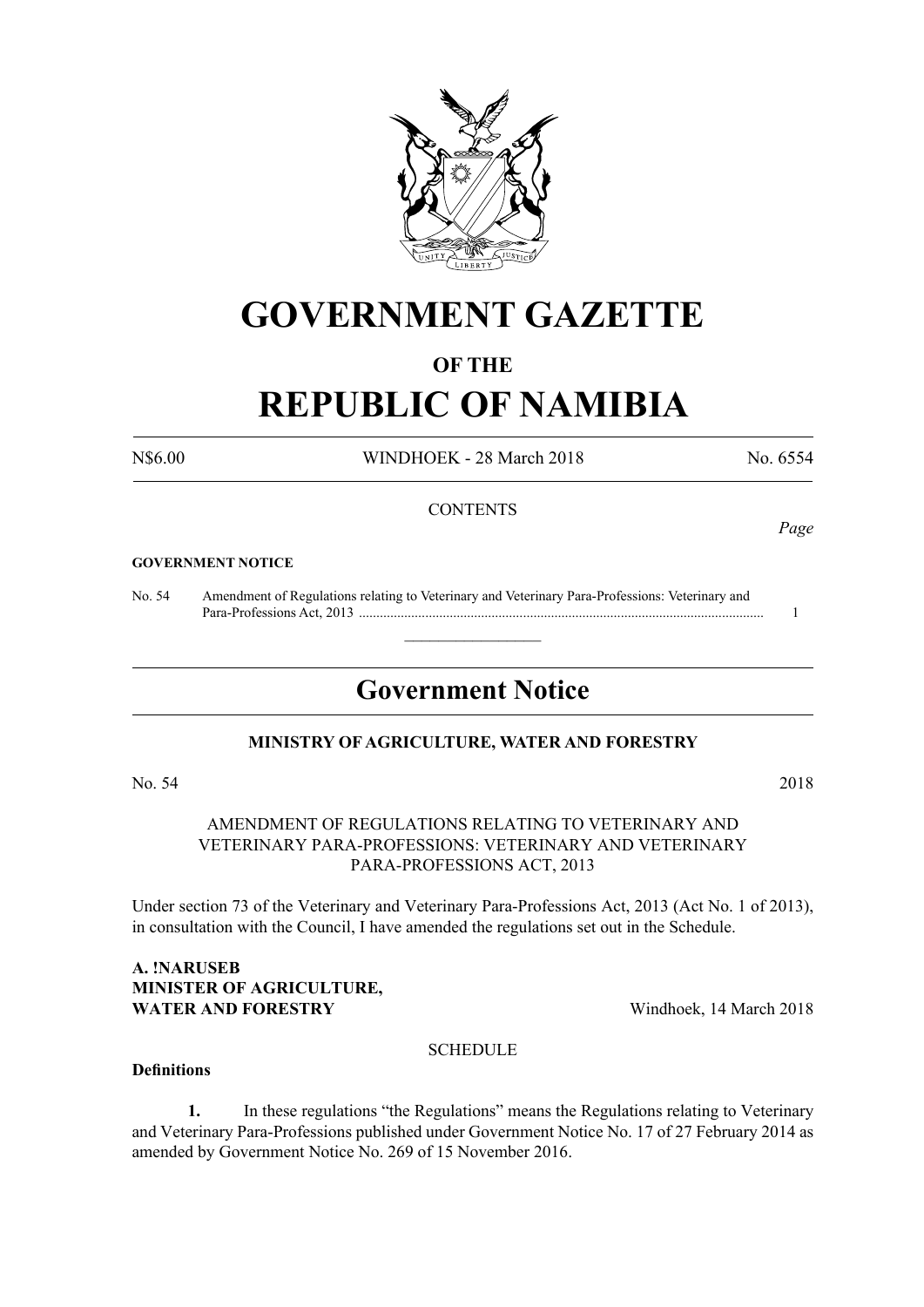

## **GOVERNMENT GAZETTE**

#### **OF THE**

# **REPUBLIC OF NAMIBIA**

N\$6.00 WINDHOEK - 28 March 2018 No. 6554

#### **CONTENTS**

#### **GOVERNMENT NOTICE**

No. 54 Amendment of Regulations relating to Veterinary and Veterinary Para-Professions: Veterinary and Para-Professions Act, 2013 .................................................................................................................... 1

### **Government Notice**

 $\overline{\phantom{a}}$  , where  $\overline{\phantom{a}}$ 

#### **MINISTRY OF AGRICULTURE, WATER AND FORESTRY**

#### No. 54 2018

#### AMENDMENT OF REGULATIONS RELATING TO VETERINARY AND VETERINARY PARA-PROFESSIONS: VETERINARY AND VETERINARY PARA-PROFESSIONS ACT, 2013

Under section 73 of the Veterinary and Veterinary Para-Professions Act, 2013 (Act No. 1 of 2013), in consultation with the Council, I have amended the regulations set out in the Schedule.

#### **A. !Naruseb Minister of Agriculture, WATER AND FORESTRY** Windhoek, 14 March 2018

#### **SCHEDULE**

#### **Definitions**

**1.** In these regulations "the Regulations" means the Regulations relating to Veterinary and Veterinary Para-Professions published under Government Notice No. 17 of 27 February 2014 as amended by Government Notice No. 269 of 15 November 2016.

*Page*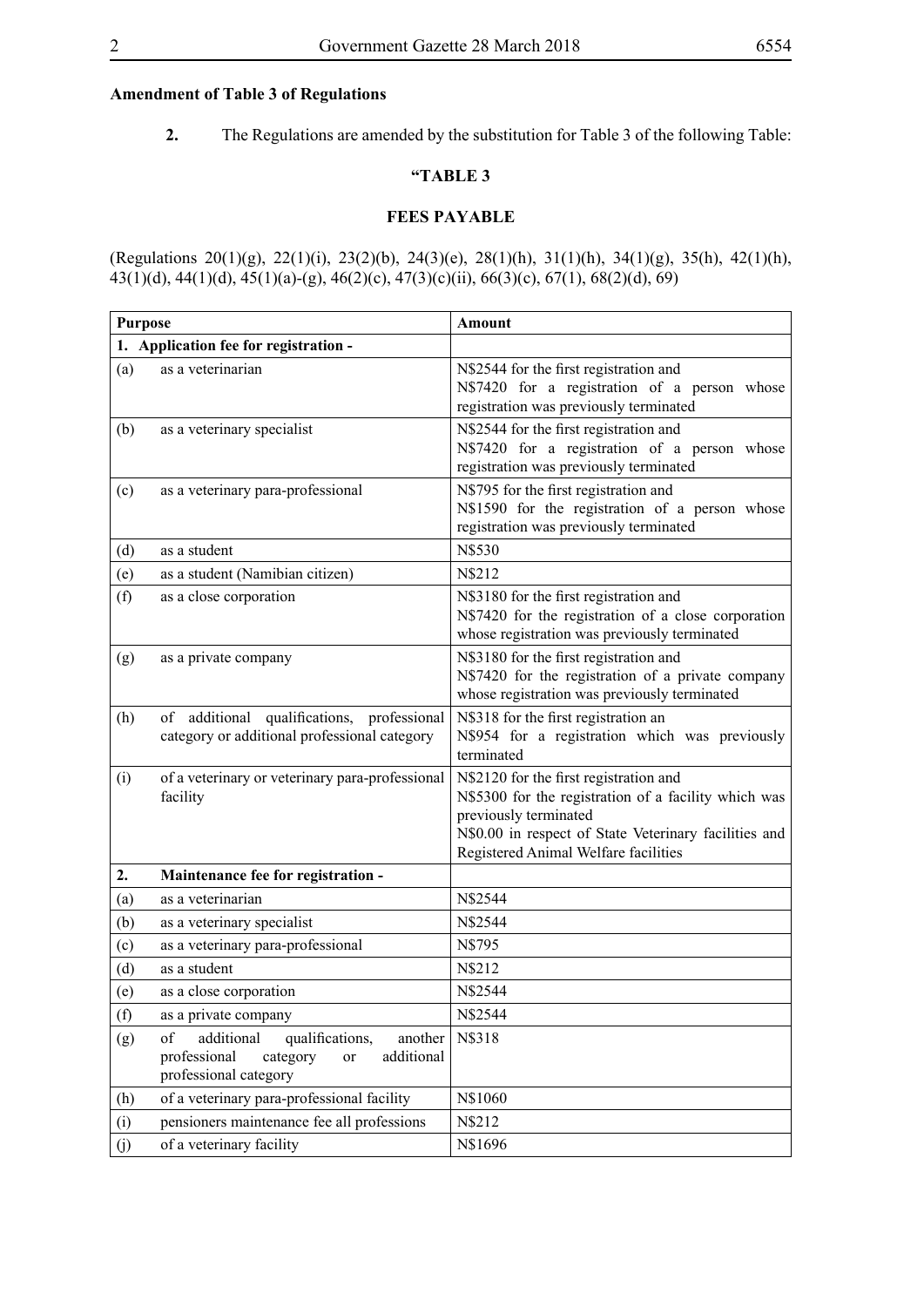#### **Amendment of Table 3 of Regulations**

**2.** The Regulations are amended by the substitution for Table 3 of the following Table:

#### **"TABLE 3**

#### **FEES PAYABLE**

(Regulations 20(1)(g), 22(1)(i), 23(2)(b), 24(3)(e), 28(1)(h), 31(1)(h), 34(1)(g), 35(h), 42(1)(h), 43(1)(d), 44(1)(d), 45(1)(a)-(g), 46(2)(c), 47(3)(c)(ii), 66(3)(c), 67(1), 68(2)(d), 69)

| <b>Purpose</b>                        |                                                                                                                         | <b>Amount</b>                                                                                                                                                                                                            |
|---------------------------------------|-------------------------------------------------------------------------------------------------------------------------|--------------------------------------------------------------------------------------------------------------------------------------------------------------------------------------------------------------------------|
| 1. Application fee for registration - |                                                                                                                         |                                                                                                                                                                                                                          |
| (a)                                   | as a veterinarian                                                                                                       | N\$2544 for the first registration and<br>N\$7420 for a registration of a person whose<br>registration was previously terminated                                                                                         |
| (b)                                   | as a veterinary specialist                                                                                              | N\$2544 for the first registration and<br>N\$7420 for a registration of a person whose<br>registration was previously terminated                                                                                         |
| (c)                                   | as a veterinary para-professional                                                                                       | N\$795 for the first registration and<br>N\$1590 for the registration of a person whose<br>registration was previously terminated                                                                                        |
| (d)                                   | as a student                                                                                                            | N\$530                                                                                                                                                                                                                   |
| (e)                                   | as a student (Namibian citizen)                                                                                         | N\$212                                                                                                                                                                                                                   |
| (f)                                   | as a close corporation                                                                                                  | N\$3180 for the first registration and<br>N\$7420 for the registration of a close corporation<br>whose registration was previously terminated                                                                            |
| (g)                                   | as a private company                                                                                                    | N\$3180 for the first registration and<br>N\$7420 for the registration of a private company<br>whose registration was previously terminated                                                                              |
| (h)                                   | of additional qualifications, professional<br>category or additional professional category                              | N\$318 for the first registration an<br>N\$954 for a registration which was previously<br>terminated                                                                                                                     |
| (i)                                   | of a veterinary or veterinary para-professional<br>facility                                                             | N\$2120 for the first registration and<br>N\$5300 for the registration of a facility which was<br>previously terminated<br>N\$0.00 in respect of State Veterinary facilities and<br>Registered Animal Welfare facilities |
| 2.                                    | Maintenance fee for registration -                                                                                      |                                                                                                                                                                                                                          |
| (a)                                   | as a veterinarian                                                                                                       | N\$2544                                                                                                                                                                                                                  |
| (b)                                   | as a veterinary specialist                                                                                              | N\$2544                                                                                                                                                                                                                  |
| (c)                                   | as a veterinary para-professional                                                                                       | N\$795                                                                                                                                                                                                                   |
| (d)                                   | as a student                                                                                                            | N\$212                                                                                                                                                                                                                   |
| (e)                                   | as a close corporation                                                                                                  | N\$2544                                                                                                                                                                                                                  |
| (f)                                   | as a private company                                                                                                    | N\$2544                                                                                                                                                                                                                  |
| (g)                                   | additional<br>qualifications,<br>of<br>another<br>professional<br>additional<br>category<br>or<br>professional category | N\$318                                                                                                                                                                                                                   |
| (h)                                   | of a veterinary para-professional facility                                                                              | N\$1060                                                                                                                                                                                                                  |
| (i)                                   | pensioners maintenance fee all professions                                                                              | N\$212                                                                                                                                                                                                                   |
| (j)                                   | of a veterinary facility                                                                                                | N\$1696                                                                                                                                                                                                                  |